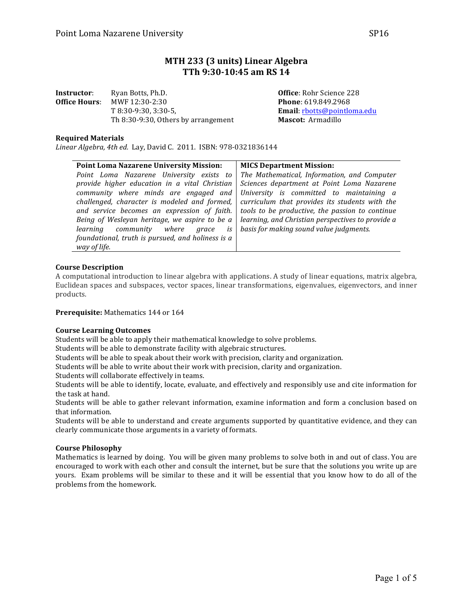# **MTH 233 (3 units) Linear Algebra TTh 9:30-10:45 am RS 14**

| Instructor:   | Ryan Botts, Ph.D.                   |
|---------------|-------------------------------------|
| Office Hours: | MWF 12:30-2:30                      |
|               | $T8:30-9:30.3:30-5.$                |
|               | Th 8:30-9:30, Others by arrangement |

**Office**: Rohr Science 228 **Phone**: 619.849.2968 Email: rbotts@pointloma.edu **Mascot:** Armadillo

## **Required Materials**

Linear Algebra, 4th ed. Lay, David C. 2011. ISBN: 978-0321836144

| <b>Point Loma Nazarene University Mission:</b>                                                                                                                                        | <b>MICS Department Mission:</b>                                                                                                                                                                    |
|---------------------------------------------------------------------------------------------------------------------------------------------------------------------------------------|----------------------------------------------------------------------------------------------------------------------------------------------------------------------------------------------------|
| Point Loma Nazarene University exists to                                                                                                                                              | The Mathematical, Information, and Computer                                                                                                                                                        |
| provide higher education in a vital Christian                                                                                                                                         | Sciences department at Point Loma Nazarene                                                                                                                                                         |
| community where minds are engaged and<br>challenged, character is modeled and formed,<br>and service becomes an expression of faith.<br>Being of Wesleyan heritage, we aspire to be a | University is committed to maintaining a<br>curriculum that provides its students with the<br>tools to be productive, the passion to continue<br>learning, and Christian perspectives to provide a |
| learning community where grace is<br>foundational, truth is pursued, and holiness is a<br>way of life.                                                                                | basis for making sound value judgments.                                                                                                                                                            |

#### **Course Description**

A computational introduction to linear algebra with applications. A study of linear equations, matrix algebra, Euclidean spaces and subspaces, vector spaces, linear transformations, eigenvalues, eigenvectors, and inner products.

**Prerequisite:** Mathematics 144 or 164

#### **Course Learning Outcomes**

Students will be able to apply their mathematical knowledge to solve problems.

Students will be able to demonstrate facility with algebraic structures.

Students will be able to speak about their work with precision, clarity and organization.

Students will be able to write about their work with precision, clarity and organization.

Students will collaborate effectively in teams.

Students will be able to identify, locate, evaluate, and effectively and responsibly use and cite information for the task at hand.

Students will be able to gather relevant information, examine information and form a conclusion based on that information.

Students will be able to understand and create arguments supported by quantitative evidence, and they can clearly communicate those arguments in a variety of formats.

#### **Course Philosophy**

Mathematics is learned by doing. You will be given many problems to solve both in and out of class. You are encouraged to work with each other and consult the internet, but be sure that the solutions you write up are yours. Exam problems will be similar to these and it will be essential that you know how to do all of the problems from the homework.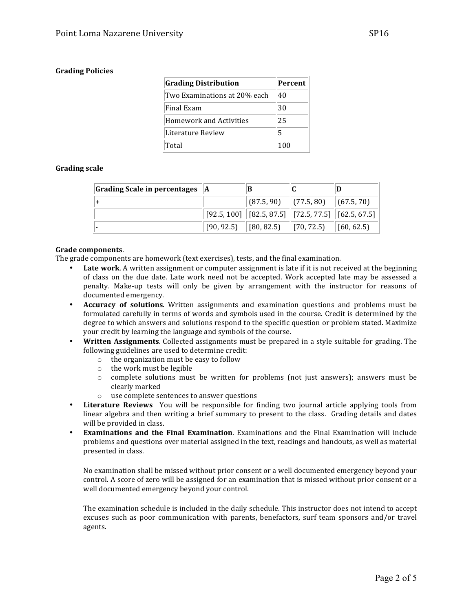# **Grading Policies**

| <b>Grading Distribution</b>    | Percent |
|--------------------------------|---------|
| Two Examinations at 20% each   | 40      |
| Final Exam                     | 30      |
| <b>Homework and Activities</b> | 25      |
| Literature Review              | 5       |
| Total                          | 100     |

## **Grading scale**

| Grading Scale in percentages $ A $ | В                                                                                                                                      |  |
|------------------------------------|----------------------------------------------------------------------------------------------------------------------------------------|--|
|                                    | $\vert$ (87.5, 90) $\vert$ (77.5, 80) $\vert$ (67.5, 70)                                                                               |  |
|                                    | $\big  \left[ 92.5, 100 \right] \big  \left[ 82.5, 87.5 \right] \big  \left[ 72.5, 77.5 \right] \big  \left[ 62.5, 67.5 \right] \big $ |  |
|                                    | $[90, 92.5]$ $[80, 82.5]$ $[70, 72.5]$ $[60, 62.5]$                                                                                    |  |

#### Grade components.

The grade components are homework (text exercises), tests, and the final examination.

- **Late work**. A written assignment or computer assignment is late if it is not received at the beginning of class on the due date. Late work need not be accepted. Work accepted late may be assessed a penalty. Make-up tests will only be given by arrangement with the instructor for reasons of documented emergency.
- Accuracy of solutions. Written assignments and examination questions and problems must be formulated carefully in terms of words and symbols used in the course. Credit is determined by the degree to which answers and solutions respond to the specific question or problem stated. Maximize your credit by learning the language and symbols of the course.
- Written Assignments. Collected assignments must be prepared in a style suitable for grading. The following guidelines are used to determine credit:
	- $\circ$  the organization must be easy to follow
	- $\circ$  the work must be legible
	- $\circ$  complete solutions must be written for problems (not just answers); answers must be clearly marked
	- $\circ$  use complete sentences to answer questions
- **Literature Reviews** You will be responsible for finding two journal article applying tools from linear algebra and then writing a brief summary to present to the class. Grading details and dates will be provided in class.
- **Examinations and the Final Examination**. Examinations and the Final Examination will include problems and questions over material assigned in the text, readings and handouts, as well as material presented in class.

No examination shall be missed without prior consent or a well documented emergency beyond your control. A score of zero will be assigned for an examination that is missed without prior consent or a well documented emergency beyond your control.

The examination schedule is included in the daily schedule. This instructor does not intend to accept excuses such as poor communication with parents, benefactors, surf team sponsors and/or travel agents.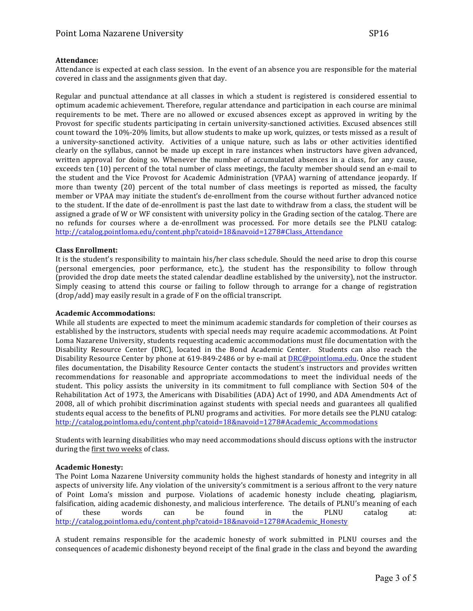## **Attendance:**

Attendance is expected at each class session. In the event of an absence you are responsible for the material covered in class and the assignments given that day.

Regular and punctual attendance at all classes in which a student is registered is considered essential to optimum academic achievement. Therefore, regular attendance and participation in each course are minimal requirements to be met. There are no allowed or excused absences except as approved in writing by the Provost for specific students participating in certain university-sanctioned activities. Excused absences still count toward the 10%-20% limits, but allow students to make up work, quizzes, or tests missed as a result of a university-sanctioned activity. Activities of a unique nature, such as labs or other activities identified clearly on the syllabus, cannot be made up except in rare instances when instructors have given advanced, written approval for doing so. Whenever the number of accumulated absences in a class, for any cause, exceeds ten (10) percent of the total number of class meetings, the faculty member should send an e-mail to the student and the Vice Provost for Academic Administration (VPAA) warning of attendance jeopardy. If more than twenty (20) percent of the total number of class meetings is reported as missed, the faculty member or VPAA may initiate the student's de-enrollment from the course without further advanced notice to the student. If the date of de-enrollment is past the last date to withdraw from a class, the student will be assigned a grade of W or WF consistent with university policy in the Grading section of the catalog. There are no refunds for courses where a de-enrollment was processed. For more details see the PLNU catalog: http://catalog.pointloma.edu/content.php?catoid=18&navoid=1278#Class\_Attendance

## **Class Enrollment:**

It is the student's responsibility to maintain his/her class schedule. Should the need arise to drop this course (personal emergencies, poor performance, etc.), the student has the responsibility to follow through (provided the drop date meets the stated calendar deadline established by the university), not the instructor. Simply ceasing to attend this course or failing to follow through to arrange for a change of registration  $(drop/add)$  may easily result in a grade of  $F$  on the official transcript.

## **Academic Accommodations:**

While all students are expected to meet the minimum academic standards for completion of their courses as established by the instructors, students with special needs may require academic accommodations. At Point Loma Nazarene University, students requesting academic accommodations must file documentation with the Disability Resource Center (DRC), located in the Bond Academic Center. Students can also reach the Disability Resource Center by phone at 619-849-2486 or by e-mail at DRC@pointloma.edu. Once the student files documentation, the Disability Resource Center contacts the student's instructors and provides written recommendations for reasonable and appropriate accommodations to meet the individual needs of the student. This policy assists the university in its commitment to full compliance with Section 504 of the Rehabilitation Act of 1973, the Americans with Disabilities (ADA) Act of 1990, and ADA Amendments Act of 2008, all of which prohibit discrimination against students with special needs and guarantees all qualified students equal access to the benefits of PLNU programs and activities. For more details see the PLNU catalog: http://catalog.pointloma.edu/content.php?catoid=18&navoid=1278#Academic\_Accommodations 

Students with learning disabilities who may need accommodations should discuss options with the instructor during the first two weeks of class.

## **Academic Honesty:**

The Point Loma Nazarene University community holds the highest standards of honesty and integrity in all aspects of university life. Any violation of the university's commitment is a serious affront to the very nature of Point Loma's mission and purpose. Violations of academic honesty include cheating, plagiarism, falsification, aiding academic dishonesty, and malicious interference. The details of PLNU's meaning of each of these words can be found in the PLNU catalog at: http://catalog.pointloma.edu/content.php?catoid=18&navoid=1278#Academic\_Honesty

A student remains responsible for the academic honesty of work submitted in PLNU courses and the consequences of academic dishonesty beyond receipt of the final grade in the class and beyond the awarding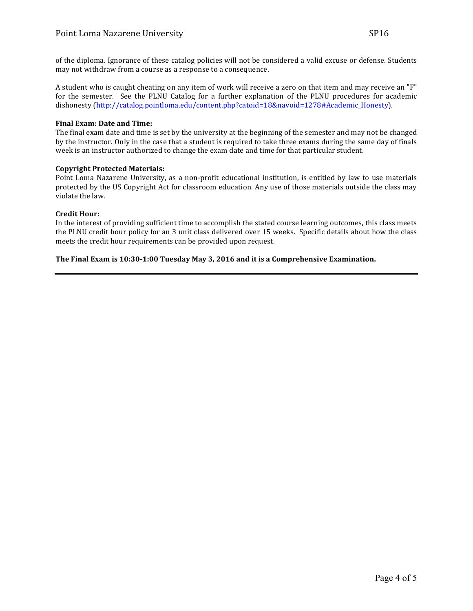of the diploma. Ignorance of these catalog policies will not be considered a valid excuse or defense. Students may not withdraw from a course as a response to a consequence.

A student who is caught cheating on any item of work will receive a zero on that item and may receive an "F" for the semester. See the PLNU Catalog for a further explanation of the PLNU procedures for academic dishonesty (http://catalog.pointloma.edu/content.php?catoid=18&navoid=1278#Academic\_Honesty).

## **Final Exam: Date and Time:**

The final exam date and time is set by the university at the beginning of the semester and may not be changed by the instructor. Only in the case that a student is required to take three exams during the same day of finals week is an instructor authorized to change the exam date and time for that particular student.

# **Copyright Protected Materials:**

Point Loma Nazarene University, as a non-profit educational institution, is entitled by law to use materials protected by the US Copyright Act for classroom education. Any use of those materials outside the class may violate the law.

# **Credit Hour:**

In the interest of providing sufficient time to accomplish the stated course learning outcomes, this class meets the PLNU credit hour policy for an 3 unit class delivered over 15 weeks. Specific details about how the class meets the credit hour requirements can be provided upon request.

# The Final Exam is 10:30-1:00 Tuesday May 3, 2016 and it is a Comprehensive Examination.